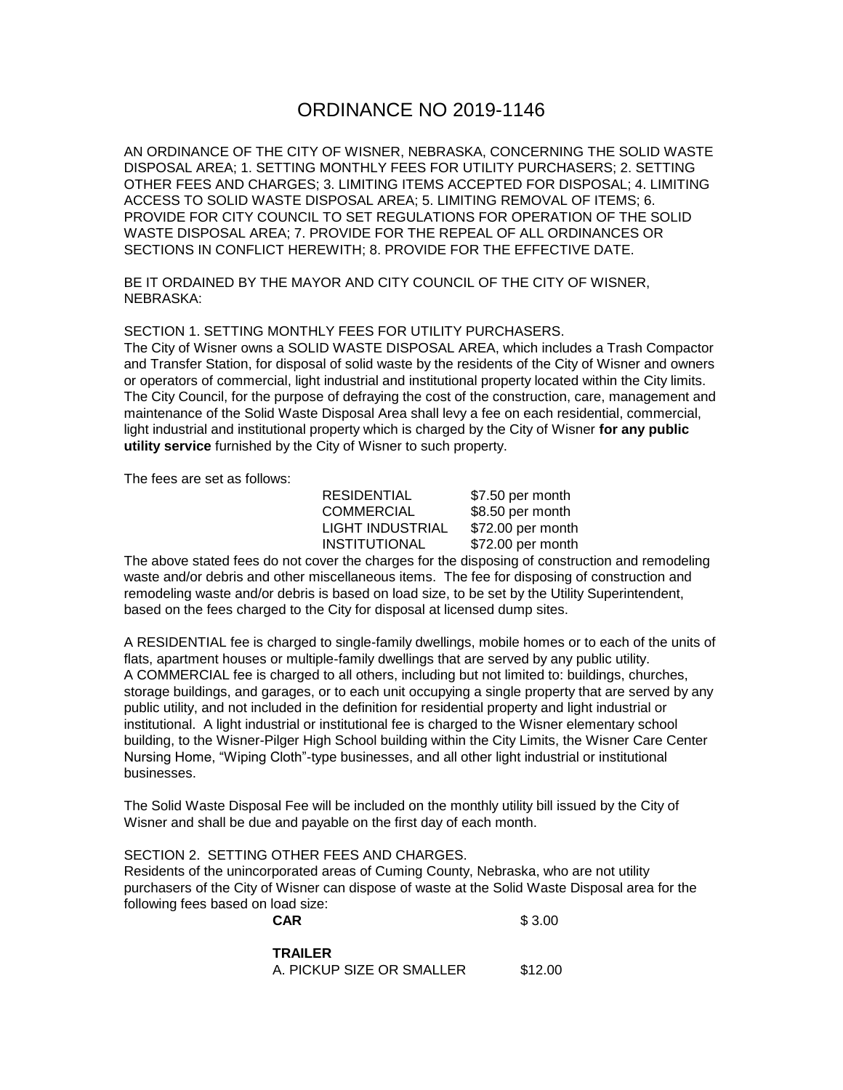# ORDINANCE NO 2019-1146

AN ORDINANCE OF THE CITY OF WISNER, NEBRASKA, CONCERNING THE SOLID WASTE DISPOSAL AREA; 1. SETTING MONTHLY FEES FOR UTILITY PURCHASERS; 2. SETTING OTHER FEES AND CHARGES; 3. LIMITING ITEMS ACCEPTED FOR DISPOSAL; 4. LIMITING ACCESS TO SOLID WASTE DISPOSAL AREA; 5. LIMITING REMOVAL OF ITEMS; 6. PROVIDE FOR CITY COUNCIL TO SET REGULATIONS FOR OPERATION OF THE SOLID WASTE DISPOSAL AREA; 7. PROVIDE FOR THE REPEAL OF ALL ORDINANCES OR SECTIONS IN CONFLICT HEREWITH; 8. PROVIDE FOR THE EFFECTIVE DATE.

BE IT ORDAINED BY THE MAYOR AND CITY COUNCIL OF THE CITY OF WISNER, NEBRASKA:

#### SECTION 1. SETTING MONTHLY FEES FOR UTILITY PURCHASERS.

The City of Wisner owns a SOLID WASTE DISPOSAL AREA, which includes a Trash Compactor and Transfer Station, for disposal of solid waste by the residents of the City of Wisner and owners or operators of commercial, light industrial and institutional property located within the City limits. The City Council, for the purpose of defraying the cost of the construction, care, management and maintenance of the Solid Waste Disposal Area shall levy a fee on each residential, commercial, light industrial and institutional property which is charged by the City of Wisner **for any public utility service** furnished by the City of Wisner to such property.

The fees are set as follows:

| \$7.50 per month  |
|-------------------|
| \$8.50 per month  |
| \$72.00 per month |
| \$72.00 per month |
|                   |

The above stated fees do not cover the charges for the disposing of construction and remodeling waste and/or debris and other miscellaneous items. The fee for disposing of construction and remodeling waste and/or debris is based on load size, to be set by the Utility Superintendent, based on the fees charged to the City for disposal at licensed dump sites.

A RESIDENTIAL fee is charged to single-family dwellings, mobile homes or to each of the units of flats, apartment houses or multiple-family dwellings that are served by any public utility. A COMMERCIAL fee is charged to all others, including but not limited to: buildings, churches, storage buildings, and garages, or to each unit occupying a single property that are served by any public utility, and not included in the definition for residential property and light industrial or institutional. A light industrial or institutional fee is charged to the Wisner elementary school building, to the Wisner-Pilger High School building within the City Limits, the Wisner Care Center Nursing Home, "Wiping Cloth"-type businesses, and all other light industrial or institutional businesses.

The Solid Waste Disposal Fee will be included on the monthly utility bill issued by the City of Wisner and shall be due and payable on the first day of each month.

## SECTION 2. SETTING OTHER FEES AND CHARGES.

Residents of the unincorporated areas of Cuming County, Nebraska, who are not utility purchasers of the City of Wisner can dispose of waste at the Solid Waste Disposal area for the following fees based on load size:

**CAR** \$ 3.00

**TRAILER** A. PICKUP SIZE OR SMALLER \$12.00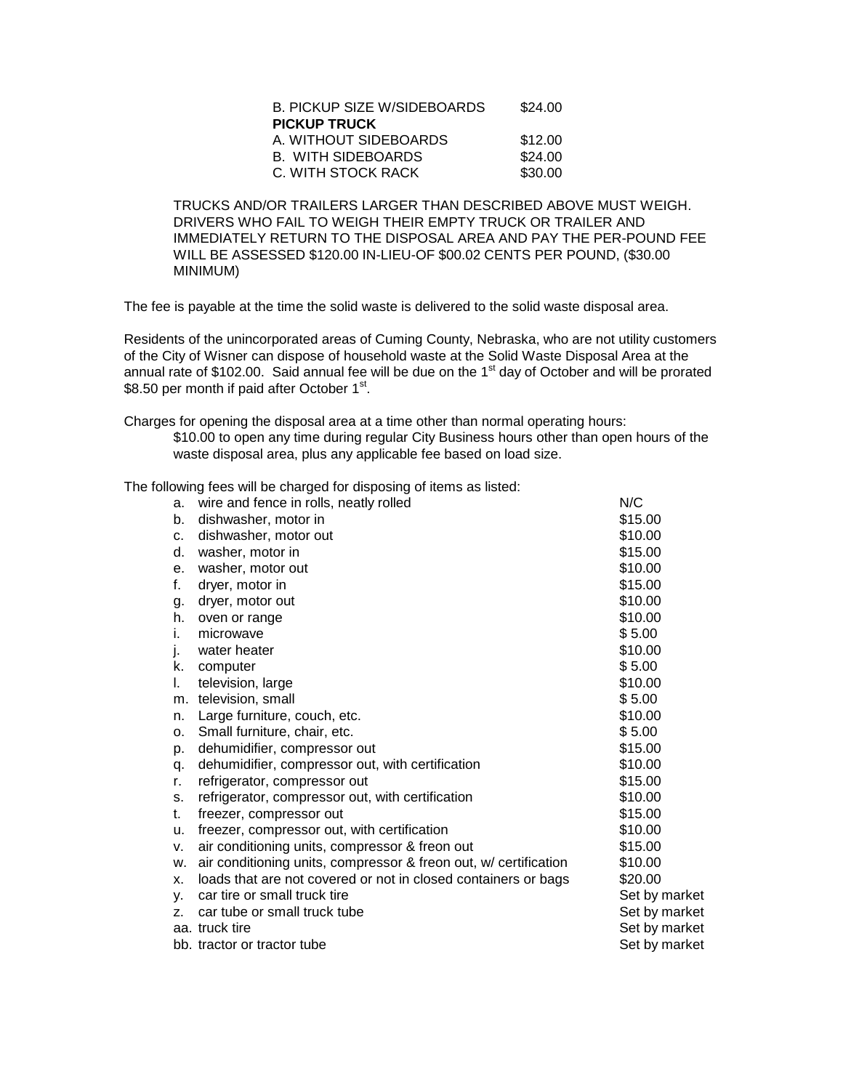| <b>B. PICKUP SIZE W/SIDEBOARDS</b> | \$24.00 |
|------------------------------------|---------|
| <b>PICKUP TRUCK</b>                |         |
| A. WITHOUT SIDEBOARDS              | \$12.00 |
| <b>B. WITH SIDEBOARDS</b>          | \$24.00 |
| C. WITH STOCK RACK                 | \$30.00 |

TRUCKS AND/OR TRAILERS LARGER THAN DESCRIBED ABOVE MUST WEIGH. DRIVERS WHO FAIL TO WEIGH THEIR EMPTY TRUCK OR TRAILER AND IMMEDIATELY RETURN TO THE DISPOSAL AREA AND PAY THE PER-POUND FEE WILL BE ASSESSED \$120.00 IN-LIEU-OF \$00.02 CENTS PER POUND, (\$30.00 MINIMUM)

The fee is payable at the time the solid waste is delivered to the solid waste disposal area.

Residents of the unincorporated areas of Cuming County, Nebraska, who are not utility customers of the City of Wisner can dispose of household waste at the Solid Waste Disposal Area at the annual rate of \$102.00. Said annual fee will be due on the 1<sup>st</sup> day of October and will be prorated \$8.50 per month if paid after October 1<sup>st</sup>.

Charges for opening the disposal area at a time other than normal operating hours:

\$10.00 to open any time during regular City Business hours other than open hours of the waste disposal area, plus any applicable fee based on load size.

The following fees will be charged for disposing of items as listed:

| a.             | wire and fence in rolls, neatly rolled                           | N/C           |
|----------------|------------------------------------------------------------------|---------------|
| b.             | dishwasher, motor in                                             | \$15.00       |
| c.             | dishwasher, motor out                                            | \$10.00       |
| d.             | washer, motor in                                                 | \$15.00       |
| е.             | washer, motor out                                                | \$10.00       |
| f.             | dryer, motor in                                                  | \$15.00       |
| g.             | dryer, motor out                                                 | \$10.00       |
| h.             | oven or range                                                    | \$10.00       |
| İ.             | microwave                                                        | \$5.00        |
| j.             | water heater                                                     | \$10.00       |
| k.             | computer                                                         | \$5.00        |
| I.             | television, large                                                | \$10.00       |
| m.             | television, small                                                | \$5.00        |
| n.             | Large furniture, couch, etc.                                     | \$10.00       |
| о.             | Small furniture, chair, etc.                                     | \$5.00        |
| p.             | dehumidifier, compressor out                                     | \$15.00       |
| q.             | dehumidifier, compressor out, with certification                 | \$10.00       |
| r.             | refrigerator, compressor out                                     | \$15.00       |
| s.             | refrigerator, compressor out, with certification                 | \$10.00       |
| t.             | freezer, compressor out                                          | \$15.00       |
| u.             | freezer, compressor out, with certification                      | \$10.00       |
| v.             | air conditioning units, compressor & freon out                   | \$15.00       |
| W.             | air conditioning units, compressor & freon out, w/ certification | \$10.00       |
| X.             | loads that are not covered or not in closed containers or bags   | \$20.00       |
| у.             | car tire or small truck tire                                     | Set by market |
| $\overline{z}$ | car tube or small truck tube                                     | Set by market |
|                | aa. truck tire                                                   | Set by market |
|                | bb. tractor or tractor tube                                      | Set by market |
|                |                                                                  |               |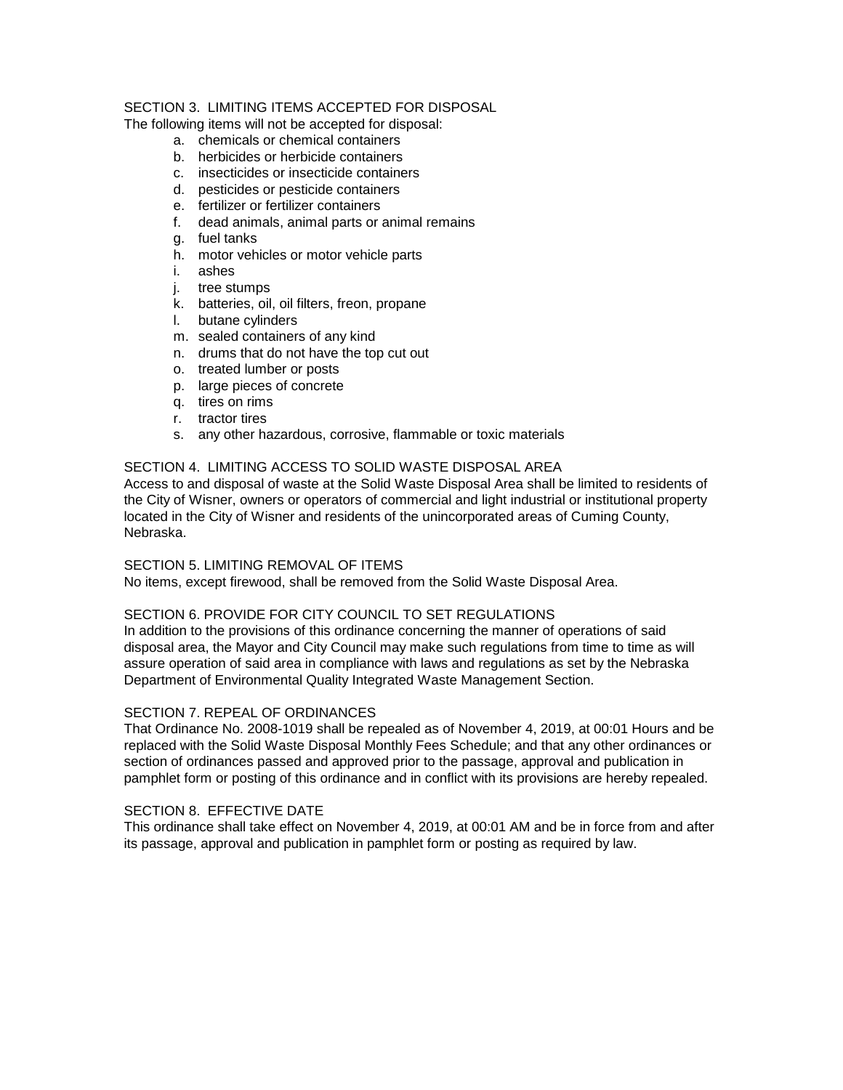## SECTION 3. LIMITING ITEMS ACCEPTED FOR DISPOSAL

The following items will not be accepted for disposal:

- a. chemicals or chemical containers
- b. herbicides or herbicide containers
- c. insecticides or insecticide containers
- d. pesticides or pesticide containers
- e. fertilizer or fertilizer containers
- f. dead animals, animal parts or animal remains
- g. fuel tanks
- h. motor vehicles or motor vehicle parts
- i. ashes
- j. tree stumps
- k. batteries, oil, oil filters, freon, propane
- l. butane cylinders
- m. sealed containers of any kind
- n. drums that do not have the top cut out
- o. treated lumber or posts
- p. large pieces of concrete
- q. tires on rims
- r. tractor tires
- s. any other hazardous, corrosive, flammable or toxic materials

## SECTION 4. LIMITING ACCESS TO SOLID WASTE DISPOSAL AREA

Access to and disposal of waste at the Solid Waste Disposal Area shall be limited to residents of the City of Wisner, owners or operators of commercial and light industrial or institutional property located in the City of Wisner and residents of the unincorporated areas of Cuming County, Nebraska.

#### SECTION 5. LIMITING REMOVAL OF ITEMS

No items, except firewood, shall be removed from the Solid Waste Disposal Area.

## SECTION 6. PROVIDE FOR CITY COUNCIL TO SET REGULATIONS

In addition to the provisions of this ordinance concerning the manner of operations of said disposal area, the Mayor and City Council may make such regulations from time to time as will assure operation of said area in compliance with laws and regulations as set by the Nebraska Department of Environmental Quality Integrated Waste Management Section.

#### SECTION 7. REPEAL OF ORDINANCES

That Ordinance No. 2008-1019 shall be repealed as of November 4, 2019, at 00:01 Hours and be replaced with the Solid Waste Disposal Monthly Fees Schedule; and that any other ordinances or section of ordinances passed and approved prior to the passage, approval and publication in pamphlet form or posting of this ordinance and in conflict with its provisions are hereby repealed.

## SECTION 8. EFFECTIVE DATE

This ordinance shall take effect on November 4, 2019, at 00:01 AM and be in force from and after its passage, approval and publication in pamphlet form or posting as required by law.